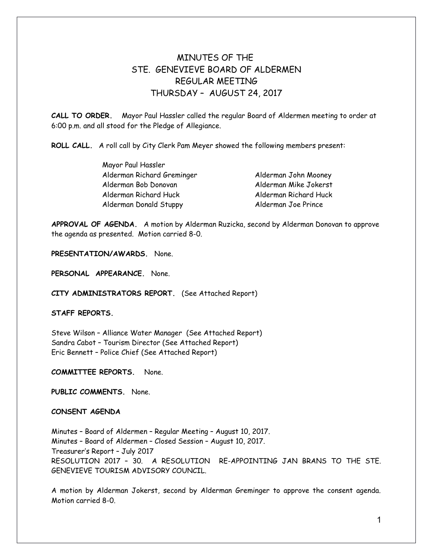# MINUTES OF THE STE. GENEVIEVE BOARD OF ALDERMEN REGULAR MEETING THURSDAY – AUGUST 24, 2017

**CALL TO ORDER.** Mayor Paul Hassler called the regular Board of Aldermen meeting to order at 6:00 p.m. and all stood for the Pledge of Allegiance.

**ROLL CALL.** A roll call by City Clerk Pam Meyer showed the following members present:

| Mayor Paul Hassler            |                       |
|-------------------------------|-----------------------|
| Alderman Richard Greminger    | Alderman John Mooney  |
| Alderman Bob Donovan          | Alderman Mike Jokerst |
| Alderman Richard Huck         | Alderman Richard Huck |
| <b>Alderman Donald Stuppy</b> | Alderman Joe Prince   |

**APPROVAL OF AGENDA.** A motion by Alderman Ruzicka, second by Alderman Donovan to approve the agenda as presented. Motion carried 8-0.

**PRESENTATION/AWARDS.** None.

**PERSONAL APPEARANCE.** None.

**CITY ADMINISTRATORS REPORT.** (See Attached Report)

# **STAFF REPORTS.**

Steve Wilson – Alliance Water Manager (See Attached Report) Sandra Cabot – Tourism Director (See Attached Report) Eric Bennett – Police Chief (See Attached Report)

**COMMITTEE REPORTS.** None.

**PUBLIC COMMENTS.** None.

# **CONSENT AGENDA**

Minutes – Board of Aldermen – Regular Meeting – August 10, 2017. Minutes – Board of Aldermen – Closed Session – August 10, 2017. Treasurer's Report – July 2017 RESOLUTION 2017 – 30. A RESOLUTION RE-APPOINTING JAN BRANS TO THE STE. GENEVIEVE TOURISM ADVISORY COUNCIL.

A motion by Alderman Jokerst, second by Alderman Greminger to approve the consent agenda. Motion carried 8-0.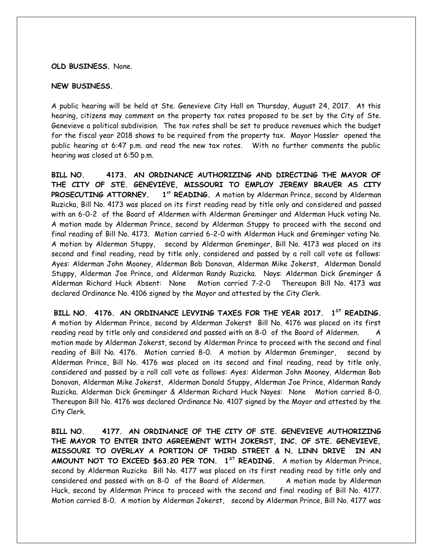## **OLD BUSINESS.** None.

# **NEW BUSINESS.**

A public hearing will be held at Ste. Genevieve City Hall on Thursday, August 24, 2017. At this hearing, citizens may comment on the property tax rates proposed to be set by the City of Ste. Genevieve a political subdivision. The tax rates shall be set to produce revenues which the budget for the fiscal year 2018 shows to be required from the property tax. Mayor Hassler opened the public hearing at 6:47 p.m. and read the new tax rates. With no further comments the public hearing was closed at 6:50 p.m.

**BILL NO. 4173. AN ORDINANCE AUTHORIZING AND DIRECTING THE MAYOR OF THE CITY OF STE. GENEVIEVE, MISSOURI TO EMPLOY JEREMY BRAUER AS CITY** PROSECUTING ATTORNEY. 1<sup>st</sup> READING. A motion by Alderman Prince, second by Alderman Ruzicka, Bill No. 4173 was placed on its first reading read by title only and considered and passed with an 6-0-2 of the Board of Aldermen with Alderman Greminger and Alderman Huck voting No. A motion made by Alderman Prince, second by Alderman Stuppy to proceed with the second and final reading of Bill No. 4173. Motion carried 6-2-0 with Alderman Huck and Greminger voting No. A motion by Alderman Stuppy, second by Alderman Greminger, Bill No. 4173 was placed on its second and final reading, read by title only, considered and passed by a roll call vote as follows: Ayes: Alderman John Mooney, Alderman Bob Donovan, Alderman Mike Jokerst, Alderman Donald Stuppy, Alderman Joe Prince, and Alderman Randy Ruzicka. Nays: Alderman Dick Greminger & Alderman Richard Huck Absent: None Motion carried 7-2-0 Thereupon Bill No. 4173 was declared Ordinance No. 4106 signed by the Mayor and attested by the City Clerk.

BILL NO. 4176. AN ORDINANCE LEVYING TAXES FOR THE YEAR 2017. 1<sup>ST</sup> READING. A motion by Alderman Prince, second by Alderman Jokerst Bill No. 4176 was placed on its first reading read by title only and considered and passed with an 8-0 of the Board of Aldermen. A motion made by Alderman Jokerst, second by Alderman Prince to proceed with the second and final reading of Bill No. 4176. Motion carried 8-0. A motion by Alderman Greminger, second by Alderman Prince, Bill No. 4176 was placed on its second and final reading, read by title only, considered and passed by a roll call vote as follows: Ayes: Alderman John Mooney, Alderman Bob Donovan, Alderman Mike Jokerst, Alderman Donald Stuppy, Alderman Joe Prince, Alderman Randy Ruzicka. Alderman Dick Greminger & Alderman Richard Huck Nayes: None Motion carried 8-0. Thereupon Bill No. 4176 was declared Ordinance No. 4107 signed by the Mayor and attested by the City Clerk.

**BILL NO. 4177. AN ORDINANCE OF THE CITY OF STE. GENEVIEVE AUTHORIZING THE MAYOR TO ENTER INTO AGREEMENT WITH JOKERST, INC. OF STE. GENEVIEVE, MISSOURI TO OVERLAY A PORTION OF THIRD STREET & N. LINN DRIVE IN AN AMOUNT NOT TO EXCEED \$63.20 PER TON. 1ST READING.** A motion by Alderman Prince, second by Alderman Ruzicka Bill No. 4177 was placed on its first reading read by title only and considered and passed with an 8-0 of the Board of Aldermen. A motion made by Alderman Huck, second by Alderman Prince to proceed with the second and final reading of Bill No. 4177. Motion carried 8-0. A motion by Alderman Jokerst, second by Alderman Prince, Bill No. 4177 was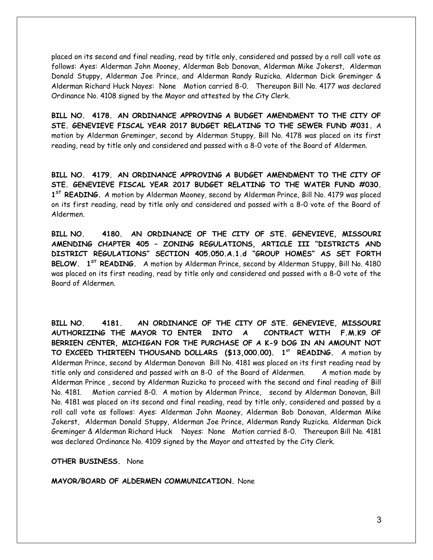placed on its second and final reading, read by title only, considered and passed by a roll call vote as follows: Ayes: Alderman John Mooney, Alderman Bob Donovan, Alderman Mike Jokerst, Alderman Donald Stuppy, Alderman Joe Prince, and Alderman Randy Ruzicka. Alderman Dick Greminger & Alderman Richard Huck Nayes: None Motion carried 8-0. Thereupon Bill No. 4177 was declared Ordinance No. 4108 signed by the Mayor and attested by the City Clerk.

**BILL NO. 4178. AN ORDINANCE APPROVING A BUDGET AMENDMENT TO THE CITY OF STE. GENEVIEVE FISCAL YEAR 2017 BUDGET RELATING TO THE SEWER FUND #031.** A motion by Alderman Greminger, second by Alderman Stuppy, Bill No. 4178 was placed on its first reading, read by title only and considered and passed with a 8-0 vote of the Board of Aldermen.

**BILL NO. 4179. AN ORDINANCE APPROVING A BUDGET AMENDMENT TO THE CITY OF STE. GENEVIEVE FISCAL YEAR 2017 BUDGET RELATING TO THE WATER FUND #030. 1 ST READING.** A motion by Alderman Mooney, second by Alderman Prince, Bill No. 4179 was placed on its first reading, read by title only and considered and passed with a 8-0 vote of the Board of Aldermen.

**BILL NO. 4180. AN ORDINANCE OF THE CITY OF STE. GENEVIEVE, MISSOURI AMENDING CHAPTER 405 – ZONING REGULATIONS, ARTICLE III "DISTRICTS AND DISTRICT REGULATIONS" SECTION 405.050.A.1.d "GROUP HOMES" AS SET FORTH BELOW. 1ST READING.** A motion by Alderman Prince, second by Alderman Stuppy, Bill No. 4180 was placed on its first reading, read by title only and considered and passed with a 8-0 vote of the Board of Aldermen.

**BILL NO. 4181. AN ORDINANCE OF THE CITY OF STE. GENEVIEVE, MISSOURI AUTHORIZING THE MAYOR TO ENTER INTO A CONTRACT WITH F.M.K9 OF BERRIEN CENTER, MICHIGAN FOR THE PURCHASE OF A K-9 DOG IN AN AMOUNT NOT TO EXCEED THIRTEEN THOUSAND DOLLARS (\$13,000.00). 1st READING.** A motion by Alderman Prince, second by Alderman Donovan Bill No. 4181 was placed on its first reading read by title only and considered and passed with an 8-0 of the Board of Aldermen. A motion made by Alderman Prince , second by Alderman Ruzicka to proceed with the second and final reading of Bill No. 4181. Motion carried 8-0. A motion by Alderman Prince, second by Alderman Donovan, Bill No. 4181 was placed on its second and final reading, read by title only, considered and passed by a roll call vote as follows: Ayes: Alderman John Mooney, Alderman Bob Donovan, Alderman Mike Jokerst, Alderman Donald Stuppy, Alderman Joe Prince, Alderman Randy Ruzicka. Alderman Dick Greminger & Alderman Richard Huck Nayes: None Motion carried 8-0. Thereupon Bill No. 4181 was declared Ordinance No. 4109 signed by the Mayor and attested by the City Clerk.

**OTHER BUSINESS.** None

**MAYOR/BOARD OF ALDERMEN COMMUNICATION.** None